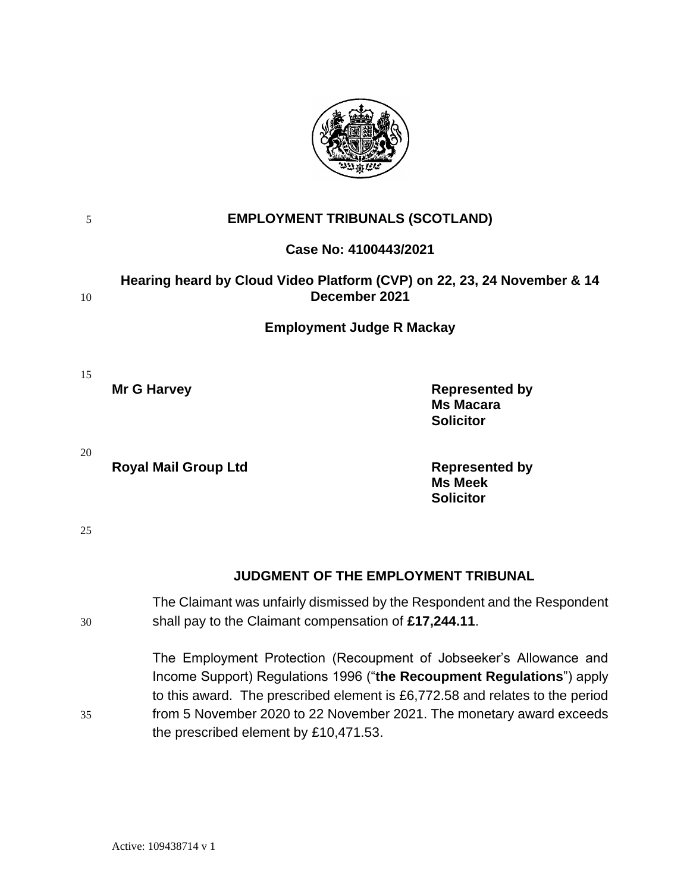

| 5  | <b>EMPLOYMENT TRIBUNALS (SCOTLAND)</b>                                                                                            |                                                                                                                                                                                                                                                                                                     |
|----|-----------------------------------------------------------------------------------------------------------------------------------|-----------------------------------------------------------------------------------------------------------------------------------------------------------------------------------------------------------------------------------------------------------------------------------------------------|
|    |                                                                                                                                   | Case No: 4100443/2021                                                                                                                                                                                                                                                                               |
| 10 | Hearing heard by Cloud Video Platform (CVP) on 22, 23, 24 November & 14<br>December 2021                                          |                                                                                                                                                                                                                                                                                                     |
|    |                                                                                                                                   | <b>Employment Judge R Mackay</b>                                                                                                                                                                                                                                                                    |
| 15 | <b>Mr G Harvey</b>                                                                                                                | <b>Represented by</b><br><b>Ms Macara</b><br><b>Solicitor</b>                                                                                                                                                                                                                                       |
| 20 | <b>Royal Mail Group Ltd</b>                                                                                                       | <b>Represented by</b><br><b>Ms Meek</b><br><b>Solicitor</b>                                                                                                                                                                                                                                         |
| 25 |                                                                                                                                   |                                                                                                                                                                                                                                                                                                     |
|    |                                                                                                                                   | <b>JUDGMENT OF THE EMPLOYMENT TRIBUNAL</b>                                                                                                                                                                                                                                                          |
| 30 | The Claimant was unfairly dismissed by the Respondent and the Respondent<br>shall pay to the Claimant compensation of £17,244.11. |                                                                                                                                                                                                                                                                                                     |
| 35 |                                                                                                                                   | The Employment Protection (Recoupment of Jobseeker's Allowance and<br>Income Support) Regulations 1996 ("the Recoupment Regulations") apply<br>to this award. The prescribed element is £6,772.58 and relates to the period<br>from 5 November 2020 to 22 November 2021. The monetary award exceeds |

the prescribed element by £10,471.53.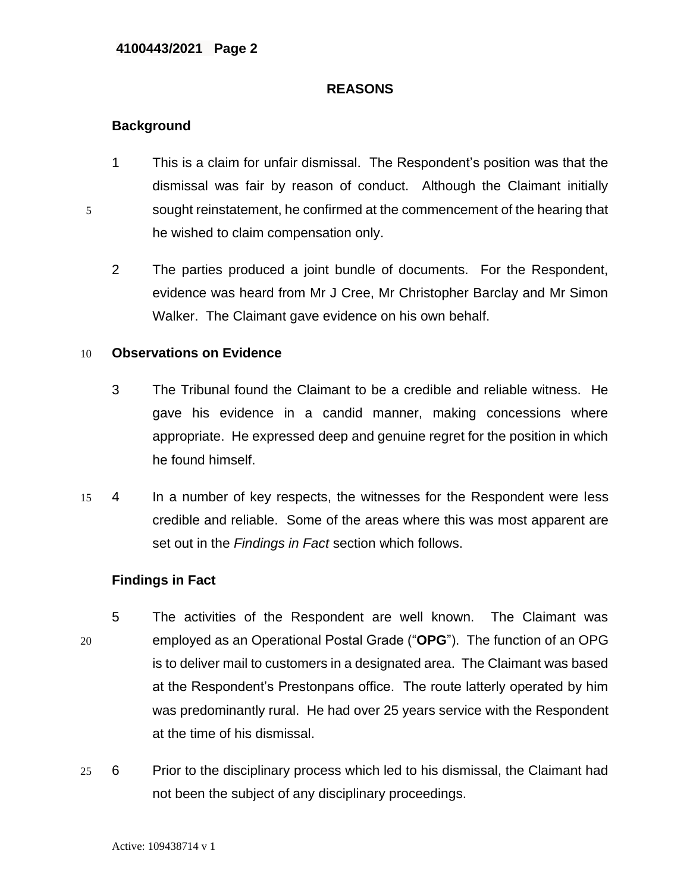### **REASONS**

# **Background**

- 1 This is a claim for unfair dismissal. The Respondent's position was that the dismissal was fair by reason of conduct. Although the Claimant initially 5 sought reinstatement, he confirmed at the commencement of the hearing that he wished to claim compensation only.
	- 2 The parties produced a joint bundle of documents. For the Respondent, evidence was heard from Mr J Cree, Mr Christopher Barclay and Mr Simon Walker. The Claimant gave evidence on his own behalf.

## 10 **Observations on Evidence**

- 3 The Tribunal found the Claimant to be a credible and reliable witness. He gave his evidence in a candid manner, making concessions where appropriate. He expressed deep and genuine regret for the position in which he found himself.
- 15 4 In a number of key respects, the witnesses for the Respondent were less credible and reliable. Some of the areas where this was most apparent are set out in the *Findings in Fact* section which follows.

## **Findings in Fact**

- 5 The activities of the Respondent are well known. The Claimant was 20 employed as an Operational Postal Grade ("**OPG**"). The function of an OPG is to deliver mail to customers in a designated area. The Claimant was based at the Respondent's Prestonpans office. The route latterly operated by him was predominantly rural. He had over 25 years service with the Respondent at the time of his dismissal.
- 25 6 Prior to the disciplinary process which led to his dismissal, the Claimant had not been the subject of any disciplinary proceedings.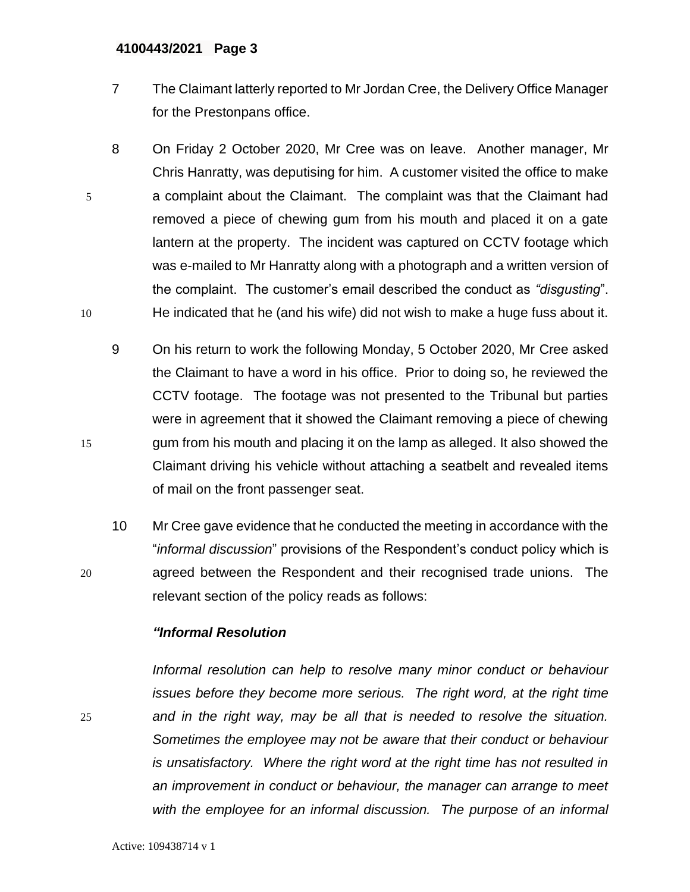- 7 The Claimant latterly reported to Mr Jordan Cree, the Delivery Office Manager for the Prestonpans office.
- 8 On Friday 2 October 2020, Mr Cree was on leave. Another manager, Mr Chris Hanratty, was deputising for him. A customer visited the office to make 5 a complaint about the Claimant. The complaint was that the Claimant had removed a piece of chewing gum from his mouth and placed it on a gate lantern at the property. The incident was captured on CCTV footage which was e-mailed to Mr Hanratty along with a photograph and a written version of the complaint. The customer's email described the conduct as *"disgusting*". 10 He indicated that he (and his wife) did not wish to make a huge fuss about it.
- 9 On his return to work the following Monday, 5 October 2020, Mr Cree asked the Claimant to have a word in his office. Prior to doing so, he reviewed the CCTV footage. The footage was not presented to the Tribunal but parties were in agreement that it showed the Claimant removing a piece of chewing 15 gum from his mouth and placing it on the lamp as alleged. It also showed the Claimant driving his vehicle without attaching a seatbelt and revealed items of mail on the front passenger seat.
- 10 Mr Cree gave evidence that he conducted the meeting in accordance with the "*informal discussion*" provisions of the Respondent's conduct policy which is 20 agreed between the Respondent and their recognised trade unions. The relevant section of the policy reads as follows:

## *"Informal Resolution*

*Informal resolution can help to resolve many minor conduct or behaviour issues before they become more serious. The right word, at the right time*  25 *and in the right way, may be all that is needed to resolve the situation. Sometimes the employee may not be aware that their conduct or behaviour is unsatisfactory. Where the right word at the right time has not resulted in an improvement in conduct or behaviour, the manager can arrange to meet with the employee for an informal discussion. The purpose of an informal*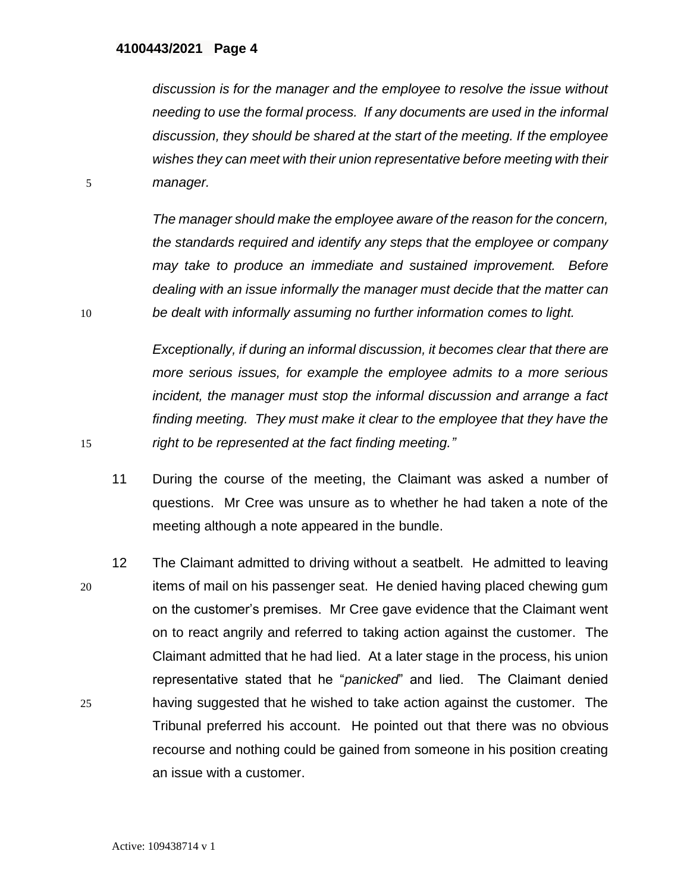*discussion is for the manager and the employee to resolve the issue without needing to use the formal process. If any documents are used in the informal discussion, they should be shared at the start of the meeting. If the employee wishes they can meet with their union representative before meeting with their*  5 *manager.*

*The manager should make the employee aware of the reason for the concern, the standards required and identify any steps that the employee or company may take to produce an immediate and sustained improvement. Before dealing with an issue informally the manager must decide that the matter can*  10 *be dealt with informally assuming no further information comes to light.*

*Exceptionally, if during an informal discussion, it becomes clear that there are more serious issues, for example the employee admits to a more serious incident, the manager must stop the informal discussion and arrange a fact finding meeting. They must make it clear to the employee that they have the*  15 *right to be represented at the fact finding meeting."*

- 11 During the course of the meeting, the Claimant was asked a number of questions. Mr Cree was unsure as to whether he had taken a note of the meeting although a note appeared in the bundle.
- 12 The Claimant admitted to driving without a seatbelt. He admitted to leaving 20 items of mail on his passenger seat. He denied having placed chewing gum on the customer's premises. Mr Cree gave evidence that the Claimant went on to react angrily and referred to taking action against the customer. The Claimant admitted that he had lied. At a later stage in the process, his union representative stated that he "*panicked*" and lied. The Claimant denied 25 having suggested that he wished to take action against the customer. The Tribunal preferred his account. He pointed out that there was no obvious recourse and nothing could be gained from someone in his position creating an issue with a customer.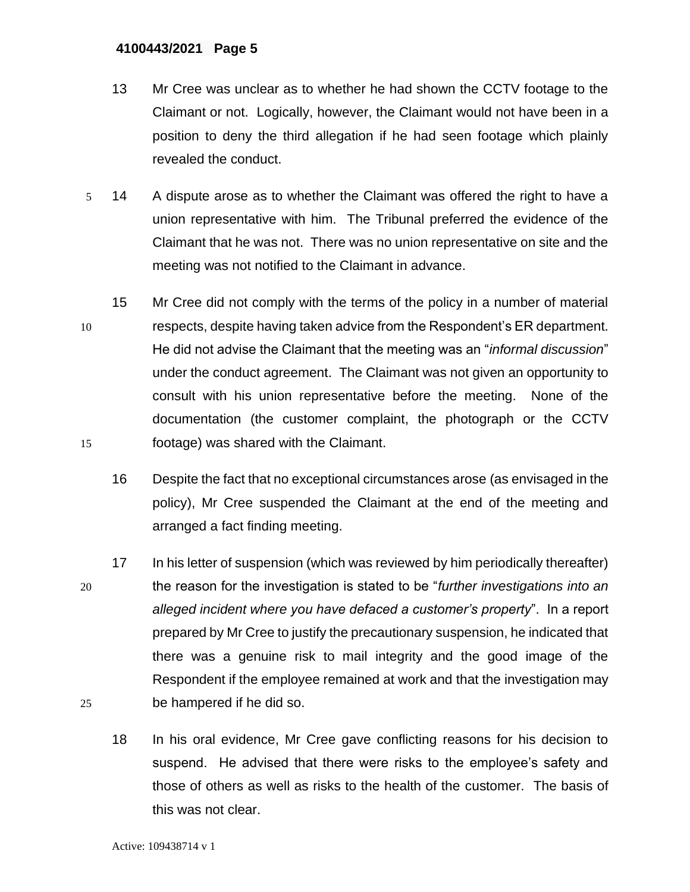- 13 Mr Cree was unclear as to whether he had shown the CCTV footage to the Claimant or not. Logically, however, the Claimant would not have been in a position to deny the third allegation if he had seen footage which plainly revealed the conduct.
- 5 14 A dispute arose as to whether the Claimant was offered the right to have a union representative with him. The Tribunal preferred the evidence of the Claimant that he was not. There was no union representative on site and the meeting was not notified to the Claimant in advance.
- 15 Mr Cree did not comply with the terms of the policy in a number of material 10 respects, despite having taken advice from the Respondent's ER department. He did not advise the Claimant that the meeting was an "*informal discussion*" under the conduct agreement. The Claimant was not given an opportunity to consult with his union representative before the meeting. None of the documentation (the customer complaint, the photograph or the CCTV 15 footage) was shared with the Claimant.
	- 16 Despite the fact that no exceptional circumstances arose (as envisaged in the policy), Mr Cree suspended the Claimant at the end of the meeting and arranged a fact finding meeting.
- 17 In his letter of suspension (which was reviewed by him periodically thereafter) 20 the reason for the investigation is stated to be "*further investigations into an alleged incident where you have defaced a customer's property*". In a report prepared by Mr Cree to justify the precautionary suspension, he indicated that there was a genuine risk to mail integrity and the good image of the Respondent if the employee remained at work and that the investigation may 25 be hampered if he did so.
	- 18 In his oral evidence, Mr Cree gave conflicting reasons for his decision to suspend. He advised that there were risks to the employee's safety and those of others as well as risks to the health of the customer. The basis of this was not clear.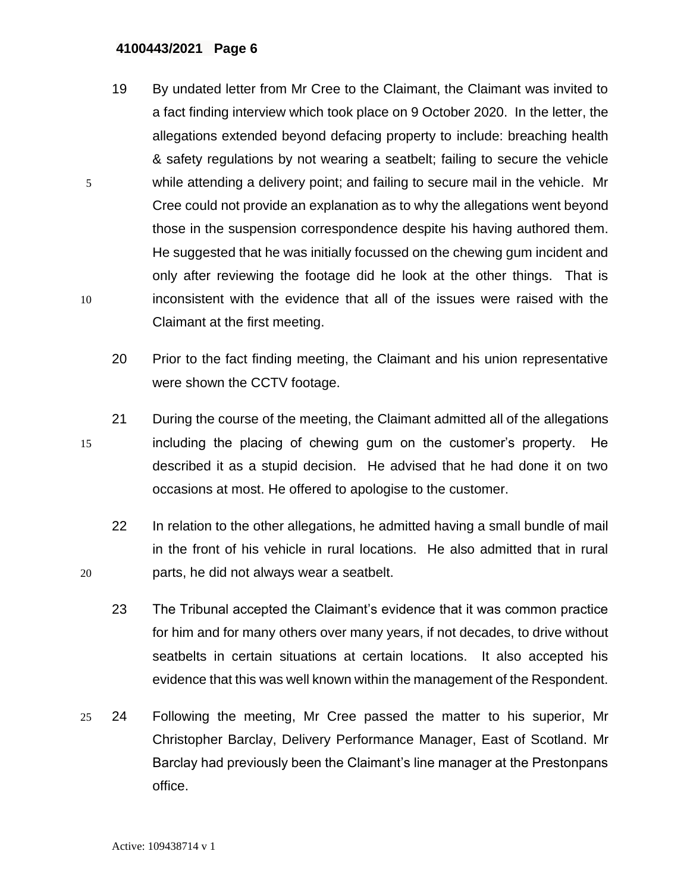- 19 By undated letter from Mr Cree to the Claimant, the Claimant was invited to a fact finding interview which took place on 9 October 2020. In the letter, the allegations extended beyond defacing property to include: breaching health & safety regulations by not wearing a seatbelt; failing to secure the vehicle 5 while attending a delivery point; and failing to secure mail in the vehicle. Mr Cree could not provide an explanation as to why the allegations went beyond those in the suspension correspondence despite his having authored them. He suggested that he was initially focussed on the chewing gum incident and only after reviewing the footage did he look at the other things. That is 10 inconsistent with the evidence that all of the issues were raised with the Claimant at the first meeting.
	- 20 Prior to the fact finding meeting, the Claimant and his union representative were shown the CCTV footage.
- 21 During the course of the meeting, the Claimant admitted all of the allegations 15 including the placing of chewing gum on the customer's property. He described it as a stupid decision. He advised that he had done it on two occasions at most. He offered to apologise to the customer.
- 22 In relation to the other allegations, he admitted having a small bundle of mail in the front of his vehicle in rural locations. He also admitted that in rural 20 parts, he did not always wear a seatbelt.
	- 23 The Tribunal accepted the Claimant's evidence that it was common practice for him and for many others over many years, if not decades, to drive without seatbelts in certain situations at certain locations. It also accepted his evidence that this was well known within the management of the Respondent.
- 25 24 Following the meeting, Mr Cree passed the matter to his superior, Mr Christopher Barclay, Delivery Performance Manager, East of Scotland. Mr Barclay had previously been the Claimant's line manager at the Prestonpans office.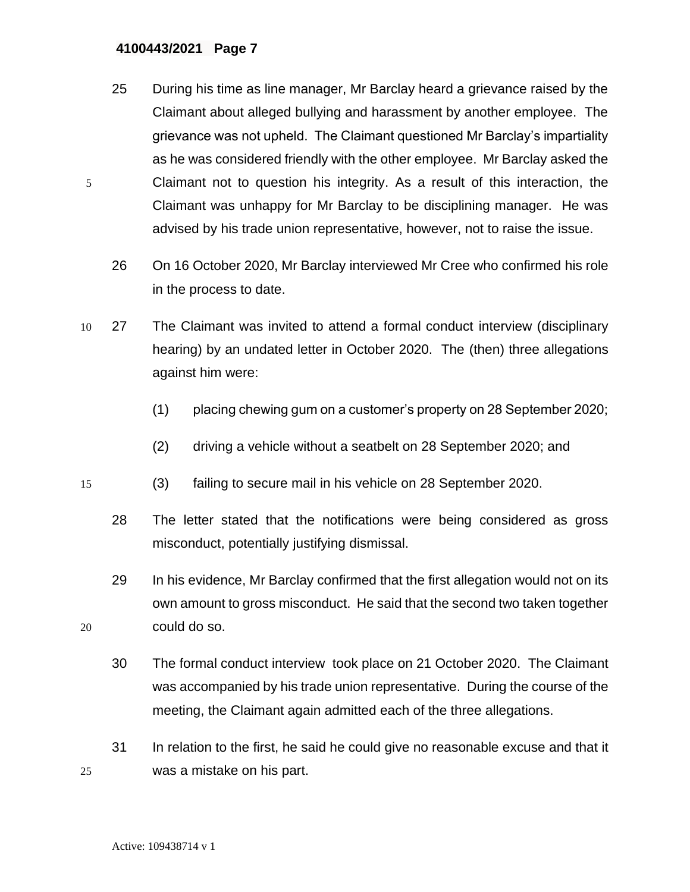- 25 During his time as line manager, Mr Barclay heard a grievance raised by the Claimant about alleged bullying and harassment by another employee. The grievance was not upheld. The Claimant questioned Mr Barclay's impartiality as he was considered friendly with the other employee. Mr Barclay asked the 5 Claimant not to question his integrity. As a result of this interaction, the Claimant was unhappy for Mr Barclay to be disciplining manager. He was advised by his trade union representative, however, not to raise the issue.
	- 26 On 16 October 2020, Mr Barclay interviewed Mr Cree who confirmed his role in the process to date.
- 10 27 The Claimant was invited to attend a formal conduct interview (disciplinary hearing) by an undated letter in October 2020. The (then) three allegations against him were:
	- (1) placing chewing gum on a customer's property on 28 September 2020;
	- (2) driving a vehicle without a seatbelt on 28 September 2020; and
- 15 (3) failing to secure mail in his vehicle on 28 September 2020.
	- 28 The letter stated that the notifications were being considered as gross misconduct, potentially justifying dismissal.

29 In his evidence, Mr Barclay confirmed that the first allegation would not on its own amount to gross misconduct. He said that the second two taken together 20 could do so.

- 30 The formal conduct interview took place on 21 October 2020. The Claimant was accompanied by his trade union representative. During the course of the meeting, the Claimant again admitted each of the three allegations.
- 31 In relation to the first, he said he could give no reasonable excuse and that it 25 was a mistake on his part.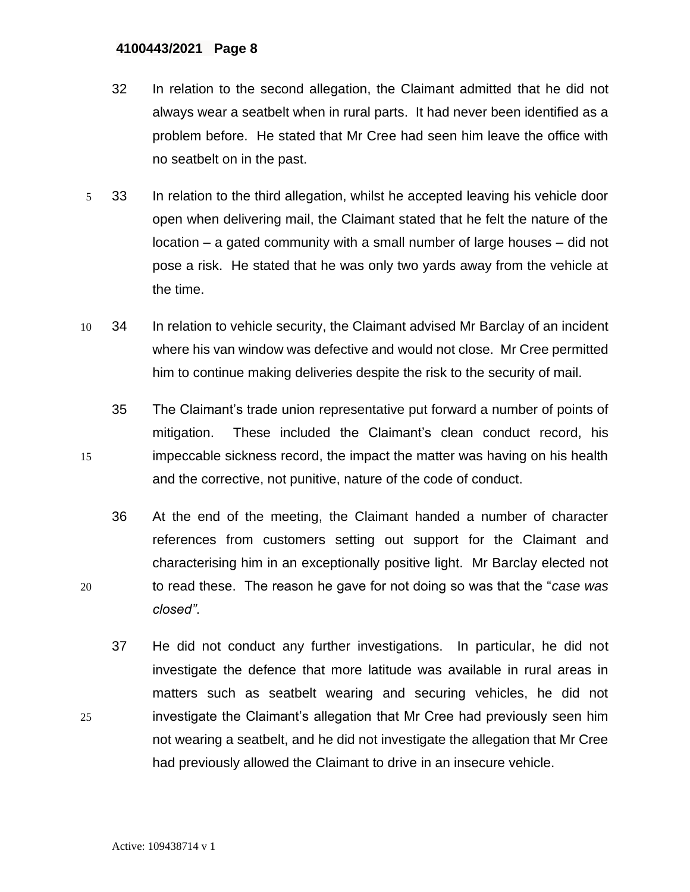- 32 In relation to the second allegation, the Claimant admitted that he did not always wear a seatbelt when in rural parts. It had never been identified as a problem before. He stated that Mr Cree had seen him leave the office with no seatbelt on in the past.
- 5 33 In relation to the third allegation, whilst he accepted leaving his vehicle door open when delivering mail, the Claimant stated that he felt the nature of the location – a gated community with a small number of large houses – did not pose a risk. He stated that he was only two yards away from the vehicle at the time.
- 10 34 In relation to vehicle security, the Claimant advised Mr Barclay of an incident where his van window was defective and would not close. Mr Cree permitted him to continue making deliveries despite the risk to the security of mail.
- 35 The Claimant's trade union representative put forward a number of points of mitigation. These included the Claimant's clean conduct record, his 15 impeccable sickness record, the impact the matter was having on his health and the corrective, not punitive, nature of the code of conduct.
- 36 At the end of the meeting, the Claimant handed a number of character references from customers setting out support for the Claimant and characterising him in an exceptionally positive light. Mr Barclay elected not 20 to read these. The reason he gave for not doing so was that the "*case was closed"*.
- 37 He did not conduct any further investigations. In particular, he did not investigate the defence that more latitude was available in rural areas in matters such as seatbelt wearing and securing vehicles, he did not 25 investigate the Claimant's allegation that Mr Cree had previously seen him not wearing a seatbelt, and he did not investigate the allegation that Mr Cree had previously allowed the Claimant to drive in an insecure vehicle.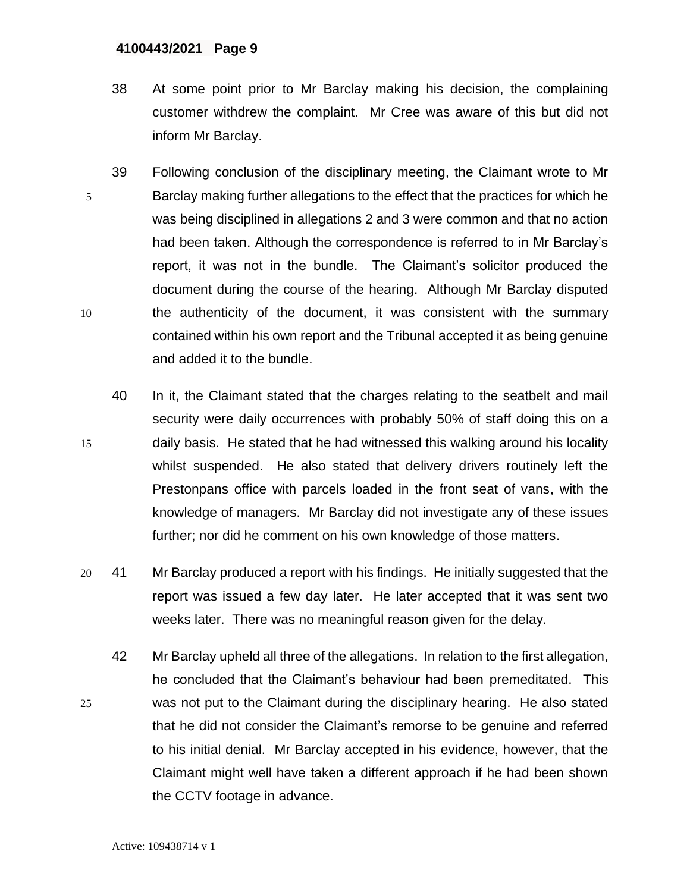- 38 At some point prior to Mr Barclay making his decision, the complaining customer withdrew the complaint. Mr Cree was aware of this but did not inform Mr Barclay.
- 39 Following conclusion of the disciplinary meeting, the Claimant wrote to Mr 5 Barclay making further allegations to the effect that the practices for which he was being disciplined in allegations 2 and 3 were common and that no action had been taken. Although the correspondence is referred to in Mr Barclay's report, it was not in the bundle. The Claimant's solicitor produced the document during the course of the hearing. Although Mr Barclay disputed 10 the authenticity of the document, it was consistent with the summary contained within his own report and the Tribunal accepted it as being genuine and added it to the bundle.
- 40 In it, the Claimant stated that the charges relating to the seatbelt and mail security were daily occurrences with probably 50% of staff doing this on a 15 daily basis. He stated that he had witnessed this walking around his locality whilst suspended. He also stated that delivery drivers routinely left the Prestonpans office with parcels loaded in the front seat of vans, with the knowledge of managers. Mr Barclay did not investigate any of these issues further; nor did he comment on his own knowledge of those matters.
- 20 41 Mr Barclay produced a report with his findings. He initially suggested that the report was issued a few day later. He later accepted that it was sent two weeks later. There was no meaningful reason given for the delay.
- 42 Mr Barclay upheld all three of the allegations. In relation to the first allegation, he concluded that the Claimant's behaviour had been premeditated. This 25 was not put to the Claimant during the disciplinary hearing. He also stated that he did not consider the Claimant's remorse to be genuine and referred to his initial denial. Mr Barclay accepted in his evidence, however, that the Claimant might well have taken a different approach if he had been shown the CCTV footage in advance.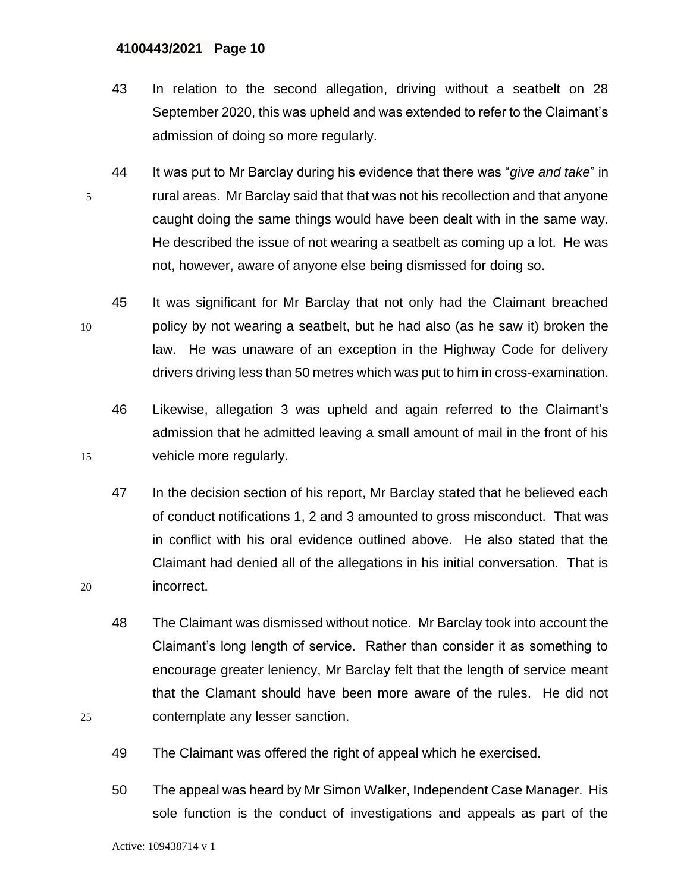- 43 In relation to the second allegation, driving without a seatbelt on 28 September 2020, this was upheld and was extended to refer to the Claimant's admission of doing so more regularly.
- 44 It was put to Mr Barclay during his evidence that there was "*give and take*" in 5 rural areas. Mr Barclay said that that was not his recollection and that anyone caught doing the same things would have been dealt with in the same way. He described the issue of not wearing a seatbelt as coming up a lot. He was not, however, aware of anyone else being dismissed for doing so.
- 45 It was significant for Mr Barclay that not only had the Claimant breached 10 policy by not wearing a seatbelt, but he had also (as he saw it) broken the law. He was unaware of an exception in the Highway Code for delivery drivers driving less than 50 metres which was put to him in cross-examination.
- 46 Likewise, allegation 3 was upheld and again referred to the Claimant's admission that he admitted leaving a small amount of mail in the front of his 15 vehicle more regularly.
- 47 In the decision section of his report, Mr Barclay stated that he believed each of conduct notifications 1, 2 and 3 amounted to gross misconduct. That was in conflict with his oral evidence outlined above. He also stated that the Claimant had denied all of the allegations in his initial conversation. That is 20 incorrect.
- 48 The Claimant was dismissed without notice. Mr Barclay took into account the Claimant's long length of service. Rather than consider it as something to encourage greater leniency, Mr Barclay felt that the length of service meant that the Clamant should have been more aware of the rules. He did not 25 contemplate any lesser sanction.
	- 49 The Claimant was offered the right of appeal which he exercised.
	- 50 The appeal was heard by Mr Simon Walker, Independent Case Manager. His sole function is the conduct of investigations and appeals as part of the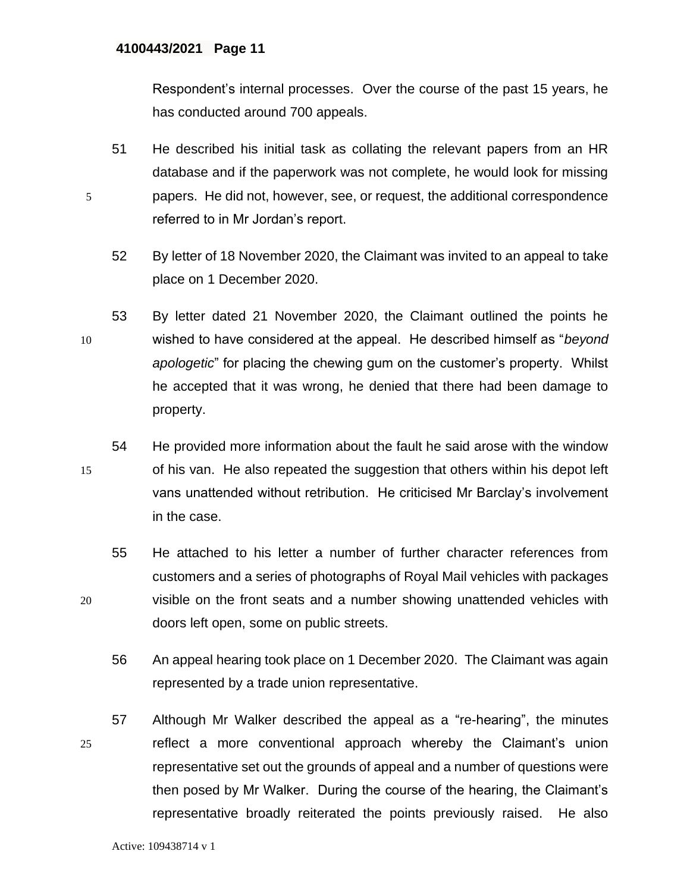Respondent's internal processes. Over the course of the past 15 years, he has conducted around 700 appeals.

- 51 He described his initial task as collating the relevant papers from an HR database and if the paperwork was not complete, he would look for missing 5 papers. He did not, however, see, or request, the additional correspondence referred to in Mr Jordan's report.
	- 52 By letter of 18 November 2020, the Claimant was invited to an appeal to take place on 1 December 2020.
- 53 By letter dated 21 November 2020, the Claimant outlined the points he 10 wished to have considered at the appeal. He described himself as "*beyond apologetic*" for placing the chewing gum on the customer's property. Whilst he accepted that it was wrong, he denied that there had been damage to property.
- 54 He provided more information about the fault he said arose with the window 15 of his van. He also repeated the suggestion that others within his depot left vans unattended without retribution. He criticised Mr Barclay's involvement in the case.
- 55 He attached to his letter a number of further character references from customers and a series of photographs of Royal Mail vehicles with packages 20 visible on the front seats and a number showing unattended vehicles with doors left open, some on public streets.
	- 56 An appeal hearing took place on 1 December 2020. The Claimant was again represented by a trade union representative.
- 57 Although Mr Walker described the appeal as a "re-hearing", the minutes 25 reflect a more conventional approach whereby the Claimant's union representative set out the grounds of appeal and a number of questions were then posed by Mr Walker. During the course of the hearing, the Claimant's representative broadly reiterated the points previously raised. He also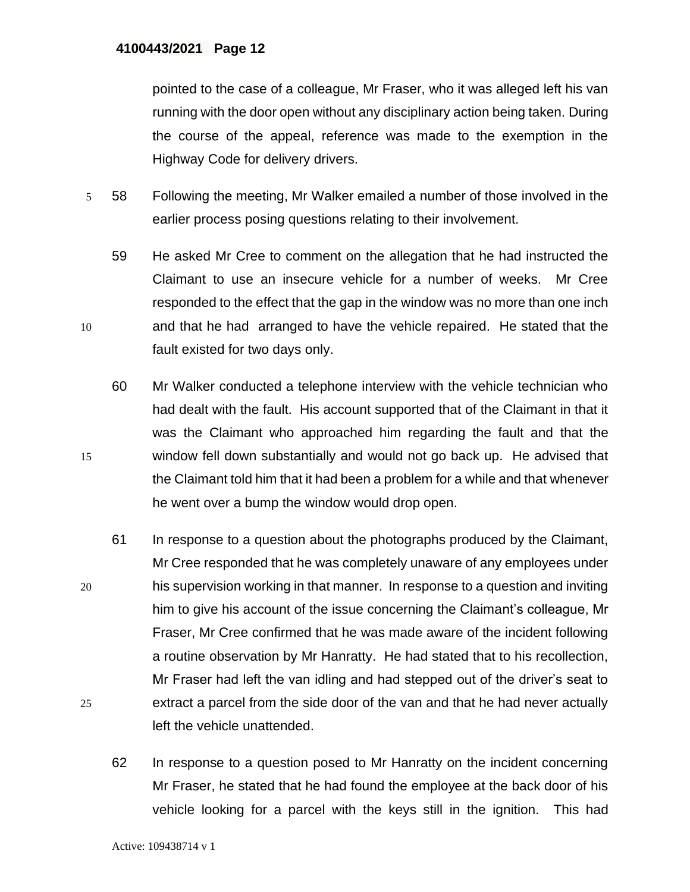pointed to the case of a colleague, Mr Fraser, who it was alleged left his van running with the door open without any disciplinary action being taken. During the course of the appeal, reference was made to the exemption in the Highway Code for delivery drivers.

- 5 58 Following the meeting, Mr Walker emailed a number of those involved in the earlier process posing questions relating to their involvement.
- 59 He asked Mr Cree to comment on the allegation that he had instructed the Claimant to use an insecure vehicle for a number of weeks. Mr Cree responded to the effect that the gap in the window was no more than one inch 10 and that he had arranged to have the vehicle repaired. He stated that the fault existed for two days only.
- 60 Mr Walker conducted a telephone interview with the vehicle technician who had dealt with the fault. His account supported that of the Claimant in that it was the Claimant who approached him regarding the fault and that the 15 window fell down substantially and would not go back up. He advised that the Claimant told him that it had been a problem for a while and that whenever he went over a bump the window would drop open.
- 61 In response to a question about the photographs produced by the Claimant, Mr Cree responded that he was completely unaware of any employees under 20 his supervision working in that manner. In response to a question and inviting him to give his account of the issue concerning the Claimant's colleague, Mr Fraser, Mr Cree confirmed that he was made aware of the incident following a routine observation by Mr Hanratty. He had stated that to his recollection, Mr Fraser had left the van idling and had stepped out of the driver's seat to 25 extract a parcel from the side door of the van and that he had never actually left the vehicle unattended.
	- 62 In response to a question posed to Mr Hanratty on the incident concerning Mr Fraser, he stated that he had found the employee at the back door of his vehicle looking for a parcel with the keys still in the ignition. This had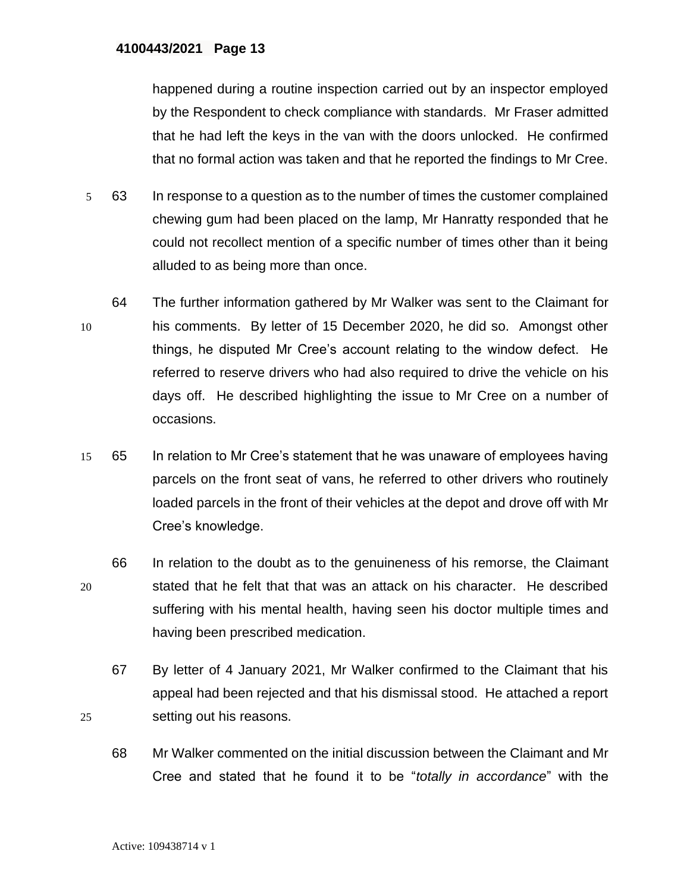happened during a routine inspection carried out by an inspector employed by the Respondent to check compliance with standards. Mr Fraser admitted that he had left the keys in the van with the doors unlocked. He confirmed that no formal action was taken and that he reported the findings to Mr Cree.

- 5 63 In response to a question as to the number of times the customer complained chewing gum had been placed on the lamp, Mr Hanratty responded that he could not recollect mention of a specific number of times other than it being alluded to as being more than once.
- 64 The further information gathered by Mr Walker was sent to the Claimant for 10 his comments. By letter of 15 December 2020, he did so. Amongst other things, he disputed Mr Cree's account relating to the window defect. He referred to reserve drivers who had also required to drive the vehicle on his days off. He described highlighting the issue to Mr Cree on a number of occasions.
- 15 65 In relation to Mr Cree's statement that he was unaware of employees having parcels on the front seat of vans, he referred to other drivers who routinely loaded parcels in the front of their vehicles at the depot and drove off with Mr Cree's knowledge.
- 66 In relation to the doubt as to the genuineness of his remorse, the Claimant 20 stated that he felt that that was an attack on his character. He described suffering with his mental health, having seen his doctor multiple times and having been prescribed medication.
- 67 By letter of 4 January 2021, Mr Walker confirmed to the Claimant that his appeal had been rejected and that his dismissal stood. He attached a report 25 setting out his reasons.
	- 68 Mr Walker commented on the initial discussion between the Claimant and Mr Cree and stated that he found it to be "*totally in accordance*" with the

Active: 109438714 v 1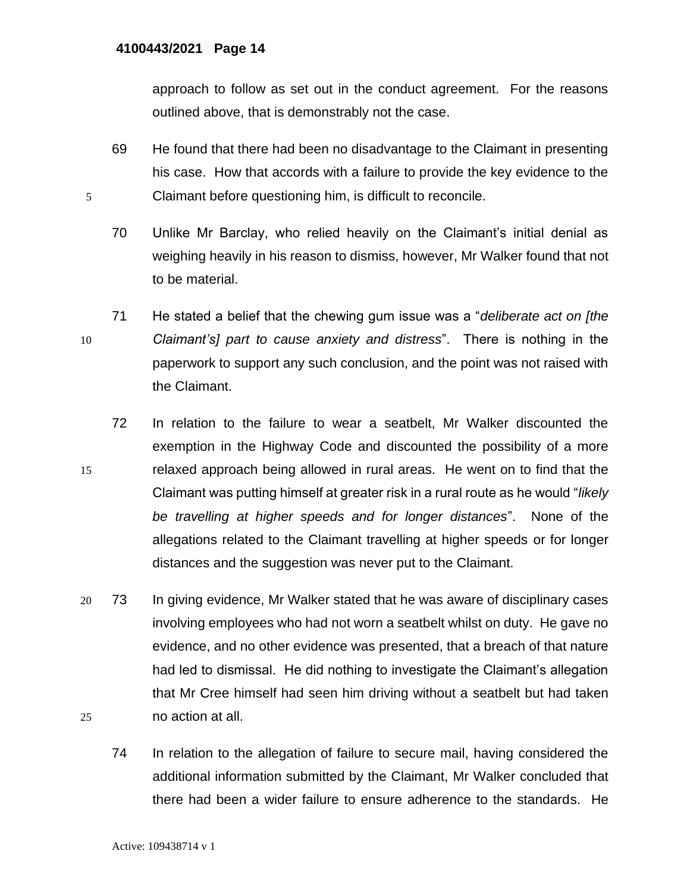approach to follow as set out in the conduct agreement. For the reasons outlined above, that is demonstrably not the case.

- 69 He found that there had been no disadvantage to the Claimant in presenting his case. How that accords with a failure to provide the key evidence to the 5 Claimant before questioning him, is difficult to reconcile.
	- 70 Unlike Mr Barclay, who relied heavily on the Claimant's initial denial as weighing heavily in his reason to dismiss, however, Mr Walker found that not to be material.
- 71 He stated a belief that the chewing gum issue was a "*deliberate act on [the*  10 *Claimant's] part to cause anxiety and distress*". There is nothing in the paperwork to support any such conclusion, and the point was not raised with the Claimant.
- 72 In relation to the failure to wear a seatbelt, Mr Walker discounted the exemption in the Highway Code and discounted the possibility of a more 15 relaxed approach being allowed in rural areas. He went on to find that the Claimant was putting himself at greater risk in a rural route as he would "*likely be travelling at higher speeds and for longer distances*". None of the allegations related to the Claimant travelling at higher speeds or for longer distances and the suggestion was never put to the Claimant.
- 20 73 In giving evidence, Mr Walker stated that he was aware of disciplinary cases involving employees who had not worn a seatbelt whilst on duty. He gave no evidence, and no other evidence was presented, that a breach of that nature had led to dismissal. He did nothing to investigate the Claimant's allegation that Mr Cree himself had seen him driving without a seatbelt but had taken 25 no action at all.
	- 74 In relation to the allegation of failure to secure mail, having considered the additional information submitted by the Claimant, Mr Walker concluded that there had been a wider failure to ensure adherence to the standards. He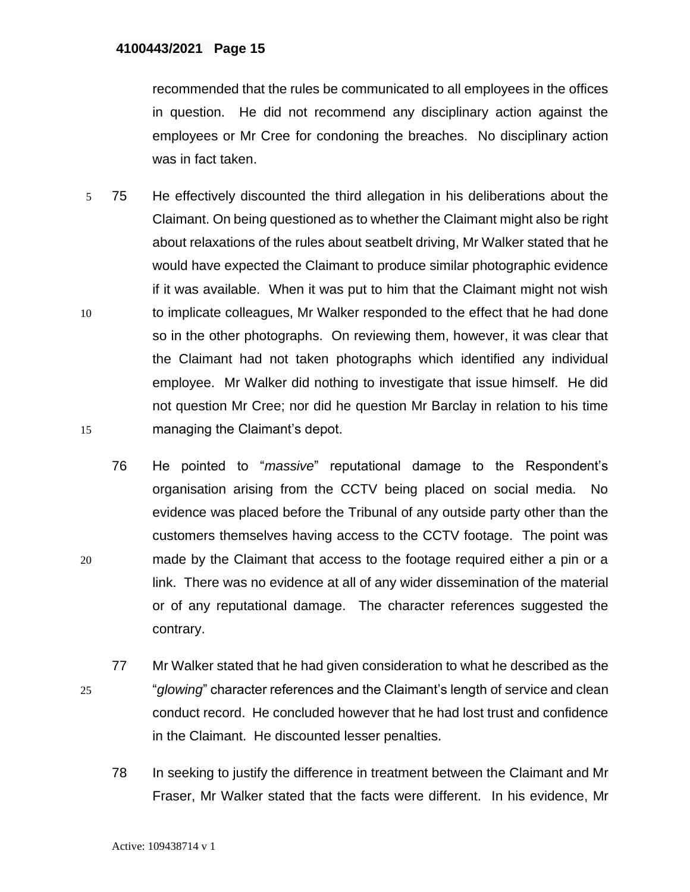recommended that the rules be communicated to all employees in the offices in question. He did not recommend any disciplinary action against the employees or Mr Cree for condoning the breaches. No disciplinary action was in fact taken.

- 5 75 He effectively discounted the third allegation in his deliberations about the Claimant. On being questioned as to whether the Claimant might also be right about relaxations of the rules about seatbelt driving, Mr Walker stated that he would have expected the Claimant to produce similar photographic evidence if it was available. When it was put to him that the Claimant might not wish 10 to implicate colleagues, Mr Walker responded to the effect that he had done so in the other photographs. On reviewing them, however, it was clear that the Claimant had not taken photographs which identified any individual employee. Mr Walker did nothing to investigate that issue himself. He did not question Mr Cree; nor did he question Mr Barclay in relation to his time 15 managing the Claimant's depot.
- 76 He pointed to "*massive*" reputational damage to the Respondent's organisation arising from the CCTV being placed on social media. No evidence was placed before the Tribunal of any outside party other than the customers themselves having access to the CCTV footage. The point was 20 made by the Claimant that access to the footage required either a pin or a link. There was no evidence at all of any wider dissemination of the material or of any reputational damage. The character references suggested the contrary.
- 77 Mr Walker stated that he had given consideration to what he described as the 25 "*glowing*" character references and the Claimant's length of service and clean conduct record. He concluded however that he had lost trust and confidence in the Claimant. He discounted lesser penalties.
	- 78 In seeking to justify the difference in treatment between the Claimant and Mr Fraser, Mr Walker stated that the facts were different. In his evidence, Mr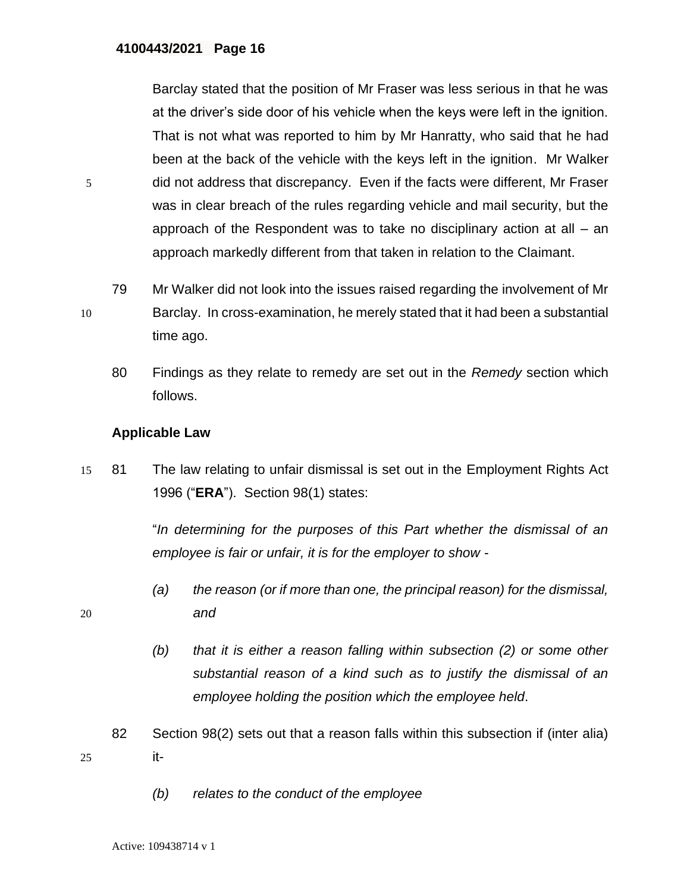Barclay stated that the position of Mr Fraser was less serious in that he was at the driver's side door of his vehicle when the keys were left in the ignition. That is not what was reported to him by Mr Hanratty, who said that he had been at the back of the vehicle with the keys left in the ignition. Mr Walker 5 did not address that discrepancy. Even if the facts were different, Mr Fraser was in clear breach of the rules regarding vehicle and mail security, but the approach of the Respondent was to take no disciplinary action at all – an approach markedly different from that taken in relation to the Claimant.

79 Mr Walker did not look into the issues raised regarding the involvement of Mr 10 Barclay. In cross-examination, he merely stated that it had been a substantial time ago.

80 Findings as they relate to remedy are set out in the *Remedy* section which follows.

### **Applicable Law**

15 81 The law relating to unfair dismissal is set out in the Employment Rights Act 1996 ("**ERA**"). Section 98(1) states:

> "*In determining for the purposes of this Part whether the dismissal of an employee is fair or unfair, it is for the employer to show -*

- *(a) the reason (or if more than one, the principal reason) for the dismissal,*  20 *and* 
	- *(b) that it is either a reason falling within subsection (2) or some other substantial reason of a kind such as to justify the dismissal of an employee holding the position which the employee held*.
- 82 Section 98(2) sets out that a reason falls within this subsection if (inter alia) 25 it-
	- *(b) relates to the conduct of the employee*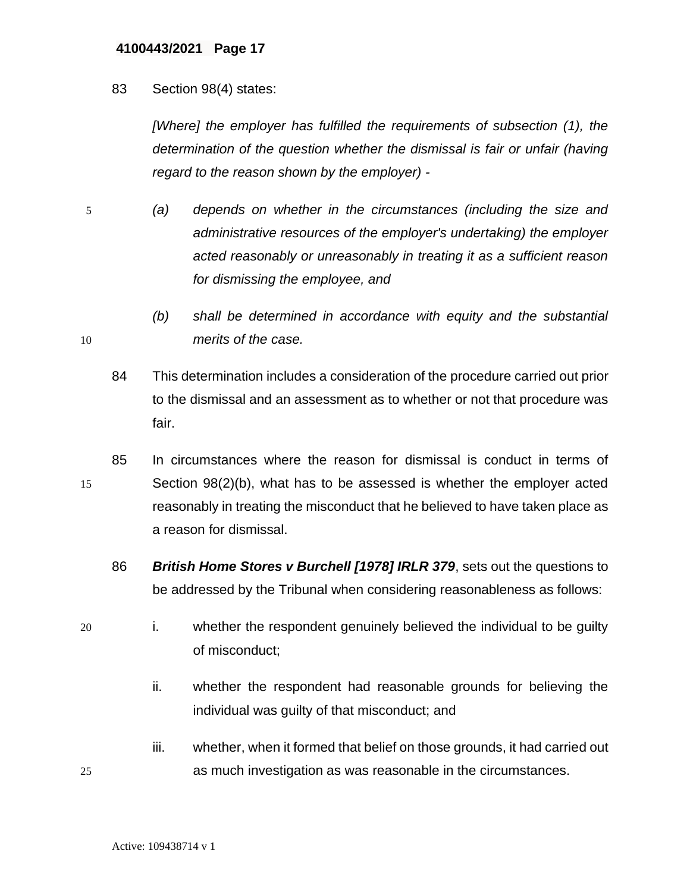83 Section 98(4) states:

*[Where] the employer has fulfilled the requirements of subsection (1), the determination of the question whether the dismissal is fair or unfair (having regard to the reason shown by the employer) -*

- 5 *(a) depends on whether in the circumstances (including the size and administrative resources of the employer's undertaking) the employer acted reasonably or unreasonably in treating it as a sufficient reason for dismissing the employee, and*
- *(b) shall be determined in accordance with equity and the substantial*  10 *merits of the case.* 
	- 84 This determination includes a consideration of the procedure carried out prior to the dismissal and an assessment as to whether or not that procedure was fair.
- 85 In circumstances where the reason for dismissal is conduct in terms of 15 Section 98(2)(b), what has to be assessed is whether the employer acted reasonably in treating the misconduct that he believed to have taken place as a reason for dismissal.
	- 86 *British Home Stores v Burchell [1978] IRLR 379*, sets out the questions to be addressed by the Tribunal when considering reasonableness as follows:
- 20 i. whether the respondent genuinely believed the individual to be guilty of misconduct;
	- ii. whether the respondent had reasonable grounds for believing the individual was guilty of that misconduct; and
- iii. whether, when it formed that belief on those grounds, it had carried out 25 as much investigation as was reasonable in the circumstances.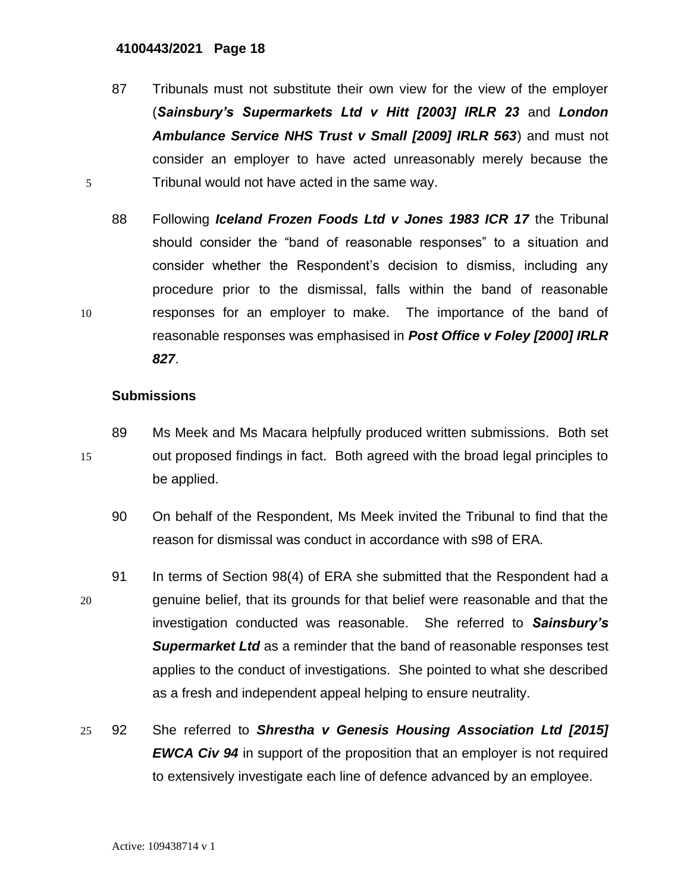87 Tribunals must not substitute their own view for the view of the employer (*Sainsbury's Supermarkets Ltd v Hitt [2003] IRLR 23* and *London Ambulance Service NHS Trust v Small [2009] IRLR 563*) and must not consider an employer to have acted unreasonably merely because the 5 Tribunal would not have acted in the same way.

88 Following *Iceland Frozen Foods Ltd v Jones 1983 ICR 17* the Tribunal should consider the "band of reasonable responses" to a situation and consider whether the Respondent's decision to dismiss, including any procedure prior to the dismissal, falls within the band of reasonable 10 responses for an employer to make. The importance of the band of reasonable responses was emphasised in *Post Office v Foley [2000] IRLR 827*.

# **Submissions**

- 89 Ms Meek and Ms Macara helpfully produced written submissions. Both set 15 out proposed findings in fact. Both agreed with the broad legal principles to be applied.
	- 90 On behalf of the Respondent, Ms Meek invited the Tribunal to find that the reason for dismissal was conduct in accordance with s98 of ERA.
- 91 In terms of Section 98(4) of ERA she submitted that the Respondent had a 20 genuine belief, that its grounds for that belief were reasonable and that the investigation conducted was reasonable. She referred to *Sainsbury's Supermarket Ltd* as a reminder that the band of reasonable responses test applies to the conduct of investigations. She pointed to what she described as a fresh and independent appeal helping to ensure neutrality.
- 25 92 She referred to *Shrestha v Genesis Housing Association Ltd [2015] EWCA Civ 94* in support of the proposition that an employer is not required to extensively investigate each line of defence advanced by an employee.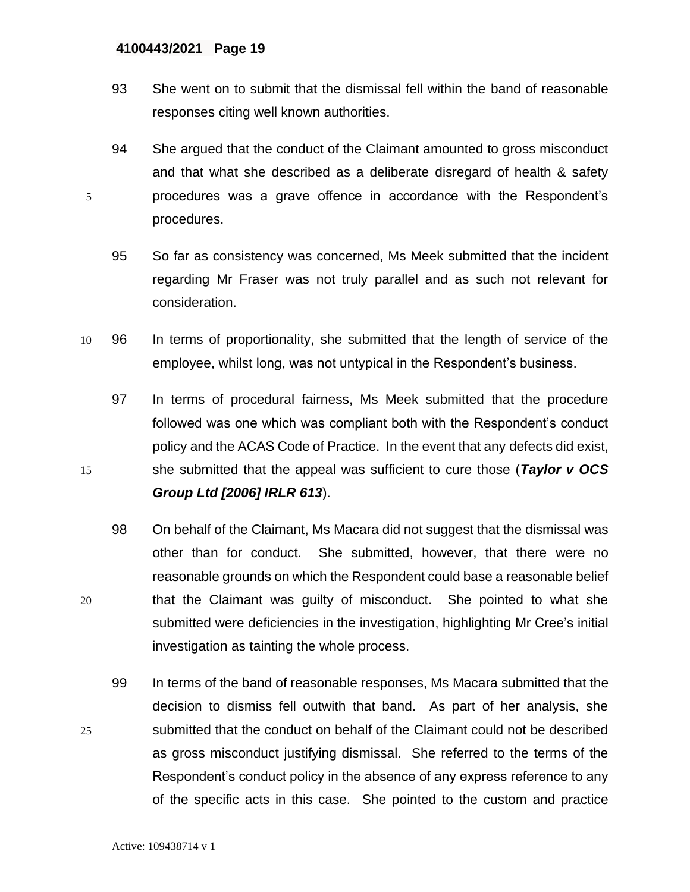- 93 She went on to submit that the dismissal fell within the band of reasonable responses citing well known authorities.
- 94 She argued that the conduct of the Claimant amounted to gross misconduct and that what she described as a deliberate disregard of health & safety 5 procedures was a grave offence in accordance with the Respondent's procedures.
	- 95 So far as consistency was concerned, Ms Meek submitted that the incident regarding Mr Fraser was not truly parallel and as such not relevant for consideration.
- 10 96 In terms of proportionality, she submitted that the length of service of the employee, whilst long, was not untypical in the Respondent's business.
- 97 In terms of procedural fairness, Ms Meek submitted that the procedure followed was one which was compliant both with the Respondent's conduct policy and the ACAS Code of Practice. In the event that any defects did exist, 15 she submitted that the appeal was sufficient to cure those (*Taylor v OCS Group Ltd [2006] IRLR 613*).
- 98 On behalf of the Claimant, Ms Macara did not suggest that the dismissal was other than for conduct. She submitted, however, that there were no reasonable grounds on which the Respondent could base a reasonable belief 20 that the Claimant was guilty of misconduct. She pointed to what she submitted were deficiencies in the investigation, highlighting Mr Cree's initial investigation as tainting the whole process.
- 99 In terms of the band of reasonable responses, Ms Macara submitted that the decision to dismiss fell outwith that band. As part of her analysis, she 25 submitted that the conduct on behalf of the Claimant could not be described as gross misconduct justifying dismissal. She referred to the terms of the Respondent's conduct policy in the absence of any express reference to any of the specific acts in this case. She pointed to the custom and practice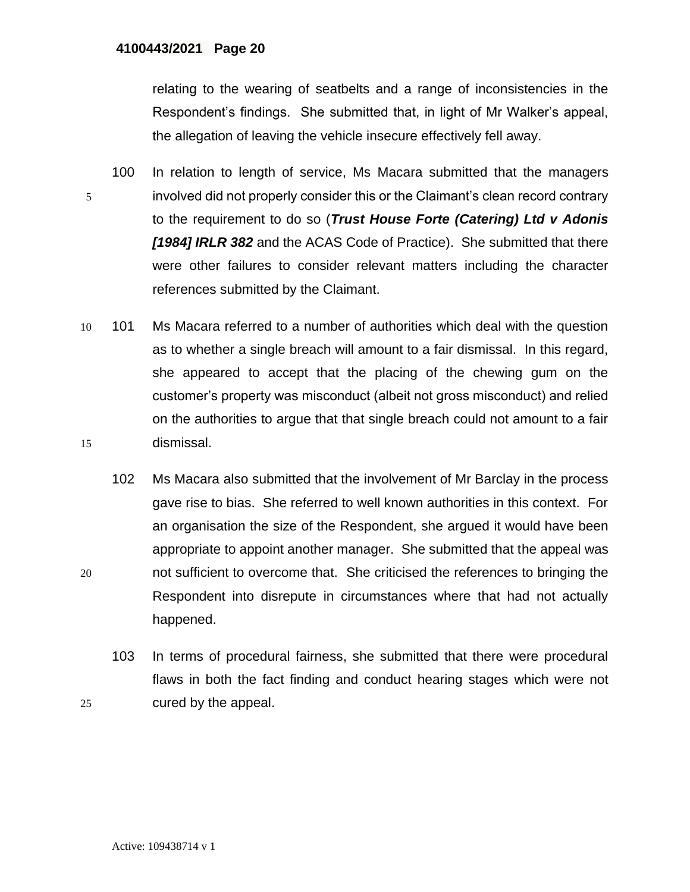relating to the wearing of seatbelts and a range of inconsistencies in the Respondent's findings. She submitted that, in light of Mr Walker's appeal, the allegation of leaving the vehicle insecure effectively fell away.

- 100 In relation to length of service, Ms Macara submitted that the managers 5 involved did not properly consider this or the Claimant's clean record contrary to the requirement to do so (*Trust House Forte (Catering) Ltd v Adonis [1984] IRLR 382* and the ACAS Code of Practice). She submitted that there were other failures to consider relevant matters including the character references submitted by the Claimant.
- 10 101 Ms Macara referred to a number of authorities which deal with the question as to whether a single breach will amount to a fair dismissal. In this regard, she appeared to accept that the placing of the chewing gum on the customer's property was misconduct (albeit not gross misconduct) and relied on the authorities to argue that that single breach could not amount to a fair 15 dismissal.
- 102 Ms Macara also submitted that the involvement of Mr Barclay in the process gave rise to bias. She referred to well known authorities in this context. For an organisation the size of the Respondent, she argued it would have been appropriate to appoint another manager. She submitted that the appeal was 20 not sufficient to overcome that. She criticised the references to bringing the Respondent into disrepute in circumstances where that had not actually happened.
- 103 In terms of procedural fairness, she submitted that there were procedural flaws in both the fact finding and conduct hearing stages which were not 25 cured by the appeal.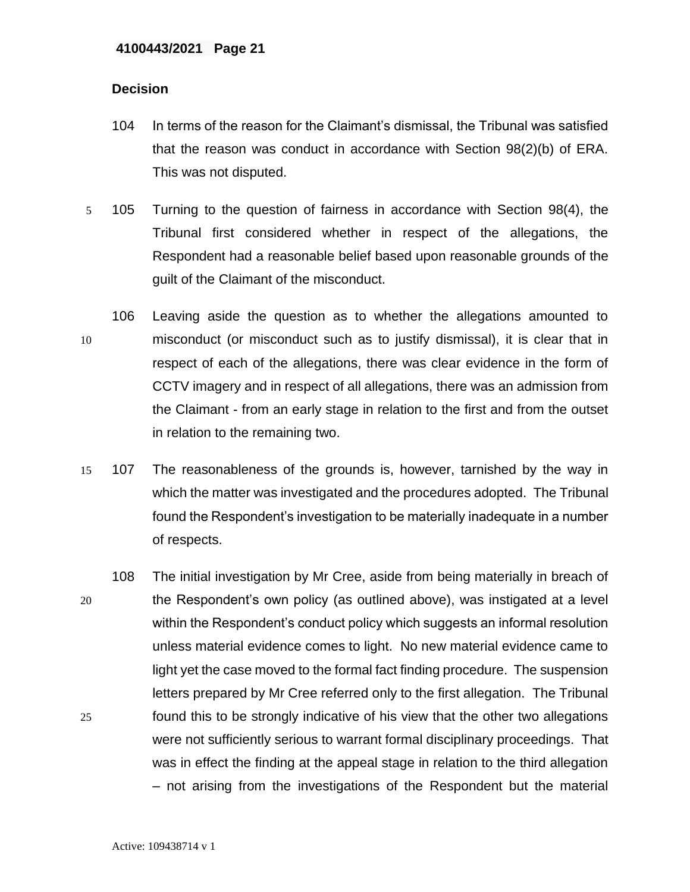## **Decision**

- 104 In terms of the reason for the Claimant's dismissal, the Tribunal was satisfied that the reason was conduct in accordance with Section 98(2)(b) of ERA. This was not disputed.
- 5 105 Turning to the question of fairness in accordance with Section 98(4), the Tribunal first considered whether in respect of the allegations, the Respondent had a reasonable belief based upon reasonable grounds of the guilt of the Claimant of the misconduct.
- 106 Leaving aside the question as to whether the allegations amounted to 10 misconduct (or misconduct such as to justify dismissal), it is clear that in respect of each of the allegations, there was clear evidence in the form of CCTV imagery and in respect of all allegations, there was an admission from the Claimant - from an early stage in relation to the first and from the outset in relation to the remaining two.
- 15 107 The reasonableness of the grounds is, however, tarnished by the way in which the matter was investigated and the procedures adopted. The Tribunal found the Respondent's investigation to be materially inadequate in a number of respects.
- 108 The initial investigation by Mr Cree, aside from being materially in breach of 20 the Respondent's own policy (as outlined above), was instigated at a level within the Respondent's conduct policy which suggests an informal resolution unless material evidence comes to light. No new material evidence came to light yet the case moved to the formal fact finding procedure. The suspension letters prepared by Mr Cree referred only to the first allegation. The Tribunal 25 found this to be strongly indicative of his view that the other two allegations were not sufficiently serious to warrant formal disciplinary proceedings. That was in effect the finding at the appeal stage in relation to the third allegation – not arising from the investigations of the Respondent but the material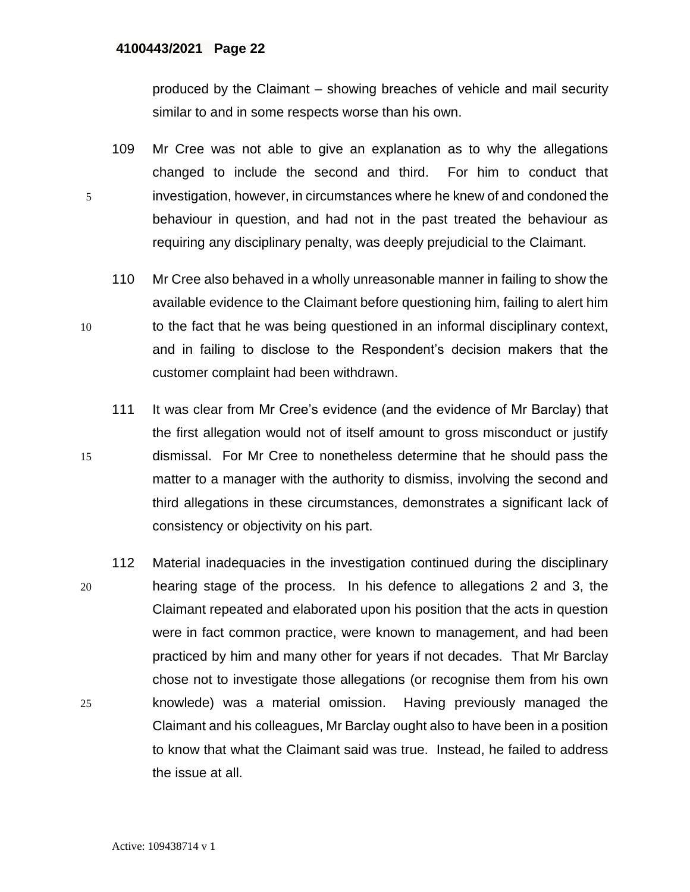produced by the Claimant – showing breaches of vehicle and mail security similar to and in some respects worse than his own.

- 109 Mr Cree was not able to give an explanation as to why the allegations changed to include the second and third. For him to conduct that 5 investigation, however, in circumstances where he knew of and condoned the behaviour in question, and had not in the past treated the behaviour as requiring any disciplinary penalty, was deeply prejudicial to the Claimant.
- 110 Mr Cree also behaved in a wholly unreasonable manner in failing to show the available evidence to the Claimant before questioning him, failing to alert him 10 to the fact that he was being questioned in an informal disciplinary context, and in failing to disclose to the Respondent's decision makers that the customer complaint had been withdrawn.
- 111 It was clear from Mr Cree's evidence (and the evidence of Mr Barclay) that the first allegation would not of itself amount to gross misconduct or justify 15 dismissal. For Mr Cree to nonetheless determine that he should pass the matter to a manager with the authority to dismiss, involving the second and third allegations in these circumstances, demonstrates a significant lack of consistency or objectivity on his part.
- 112 Material inadequacies in the investigation continued during the disciplinary 20 hearing stage of the process. In his defence to allegations 2 and 3, the Claimant repeated and elaborated upon his position that the acts in question were in fact common practice, were known to management, and had been practiced by him and many other for years if not decades. That Mr Barclay chose not to investigate those allegations (or recognise them from his own 25 knowlede) was a material omission. Having previously managed the Claimant and his colleagues, Mr Barclay ought also to have been in a position to know that what the Claimant said was true. Instead, he failed to address the issue at all.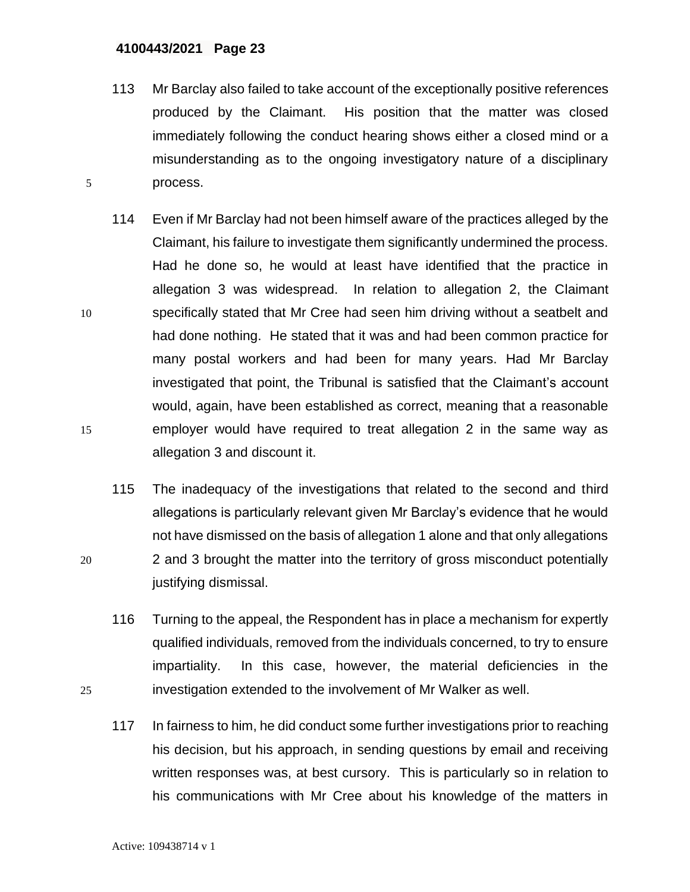113 Mr Barclay also failed to take account of the exceptionally positive references produced by the Claimant. His position that the matter was closed immediately following the conduct hearing shows either a closed mind or a misunderstanding as to the ongoing investigatory nature of a disciplinary 5 process.

114 Even if Mr Barclay had not been himself aware of the practices alleged by the Claimant, his failure to investigate them significantly undermined the process. Had he done so, he would at least have identified that the practice in allegation 3 was widespread. In relation to allegation 2, the Claimant 10 specifically stated that Mr Cree had seen him driving without a seatbelt and had done nothing. He stated that it was and had been common practice for many postal workers and had been for many years. Had Mr Barclay investigated that point, the Tribunal is satisfied that the Claimant's account would, again, have been established as correct, meaning that a reasonable 15 employer would have required to treat allegation 2 in the same way as allegation 3 and discount it.

- 115 The inadequacy of the investigations that related to the second and third allegations is particularly relevant given Mr Barclay's evidence that he would not have dismissed on the basis of allegation 1 alone and that only allegations 20 2 and 3 brought the matter into the territory of gross misconduct potentially justifying dismissal.
- 116 Turning to the appeal, the Respondent has in place a mechanism for expertly qualified individuals, removed from the individuals concerned, to try to ensure impartiality. In this case, however, the material deficiencies in the 25 investigation extended to the involvement of Mr Walker as well.
	- 117 In fairness to him, he did conduct some further investigations prior to reaching his decision, but his approach, in sending questions by email and receiving written responses was, at best cursory. This is particularly so in relation to his communications with Mr Cree about his knowledge of the matters in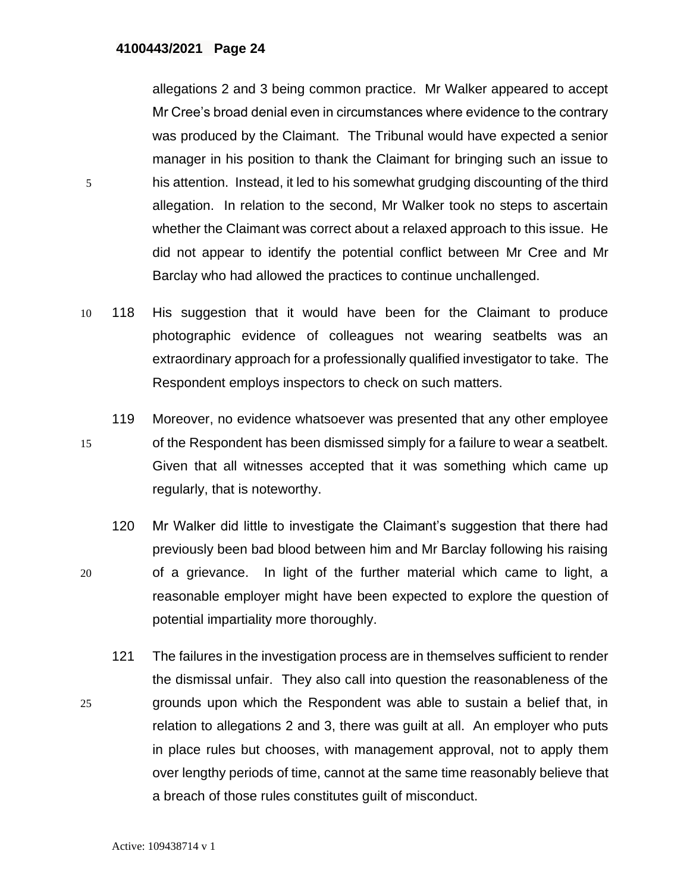allegations 2 and 3 being common practice. Mr Walker appeared to accept Mr Cree's broad denial even in circumstances where evidence to the contrary was produced by the Claimant. The Tribunal would have expected a senior manager in his position to thank the Claimant for bringing such an issue to 5 his attention. Instead, it led to his somewhat grudging discounting of the third allegation. In relation to the second, Mr Walker took no steps to ascertain whether the Claimant was correct about a relaxed approach to this issue. He did not appear to identify the potential conflict between Mr Cree and Mr Barclay who had allowed the practices to continue unchallenged.

- 10 118 His suggestion that it would have been for the Claimant to produce photographic evidence of colleagues not wearing seatbelts was an extraordinary approach for a professionally qualified investigator to take. The Respondent employs inspectors to check on such matters.
- 119 Moreover, no evidence whatsoever was presented that any other employee 15 of the Respondent has been dismissed simply for a failure to wear a seatbelt. Given that all witnesses accepted that it was something which came up regularly, that is noteworthy.
- 120 Mr Walker did little to investigate the Claimant's suggestion that there had previously been bad blood between him and Mr Barclay following his raising 20 of a grievance. In light of the further material which came to light, a reasonable employer might have been expected to explore the question of potential impartiality more thoroughly.
- 121 The failures in the investigation process are in themselves sufficient to render the dismissal unfair. They also call into question the reasonableness of the 25 grounds upon which the Respondent was able to sustain a belief that, in relation to allegations 2 and 3, there was guilt at all. An employer who puts in place rules but chooses, with management approval, not to apply them over lengthy periods of time, cannot at the same time reasonably believe that a breach of those rules constitutes guilt of misconduct.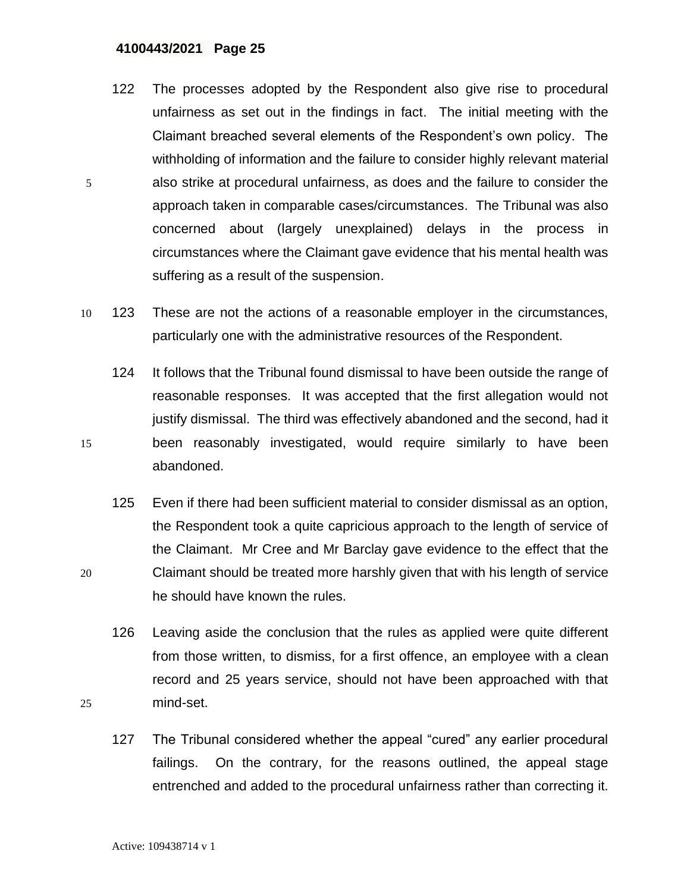- 122 The processes adopted by the Respondent also give rise to procedural unfairness as set out in the findings in fact. The initial meeting with the Claimant breached several elements of the Respondent's own policy. The withholding of information and the failure to consider highly relevant material 5 also strike at procedural unfairness, as does and the failure to consider the approach taken in comparable cases/circumstances. The Tribunal was also concerned about (largely unexplained) delays in the process in circumstances where the Claimant gave evidence that his mental health was suffering as a result of the suspension.
- 10 123 These are not the actions of a reasonable employer in the circumstances, particularly one with the administrative resources of the Respondent.
- 124 It follows that the Tribunal found dismissal to have been outside the range of reasonable responses. It was accepted that the first allegation would not justify dismissal. The third was effectively abandoned and the second, had it 15 been reasonably investigated, would require similarly to have been abandoned.
- 125 Even if there had been sufficient material to consider dismissal as an option, the Respondent took a quite capricious approach to the length of service of the Claimant. Mr Cree and Mr Barclay gave evidence to the effect that the 20 Claimant should be treated more harshly given that with his length of service he should have known the rules.
- 126 Leaving aside the conclusion that the rules as applied were quite different from those written, to dismiss, for a first offence, an employee with a clean record and 25 years service, should not have been approached with that 25 mind-set.
	- 127 The Tribunal considered whether the appeal "cured" any earlier procedural failings. On the contrary, for the reasons outlined, the appeal stage entrenched and added to the procedural unfairness rather than correcting it.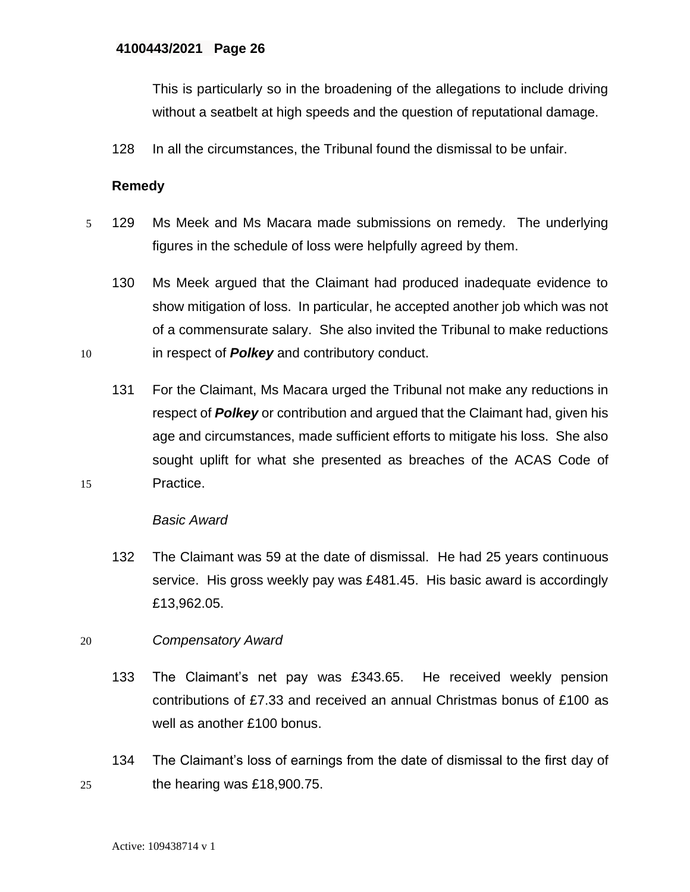This is particularly so in the broadening of the allegations to include driving without a seatbelt at high speeds and the question of reputational damage.

128 In all the circumstances, the Tribunal found the dismissal to be unfair.

# **Remedy**

- 5 129 Ms Meek and Ms Macara made submissions on remedy. The underlying figures in the schedule of loss were helpfully agreed by them.
- 130 Ms Meek argued that the Claimant had produced inadequate evidence to show mitigation of loss. In particular, he accepted another job which was not of a commensurate salary. She also invited the Tribunal to make reductions 10 in respect of *Polkey* and contributory conduct.
- 131 For the Claimant, Ms Macara urged the Tribunal not make any reductions in respect of *Polkey* or contribution and argued that the Claimant had, given his age and circumstances, made sufficient efforts to mitigate his loss. She also sought uplift for what she presented as breaches of the ACAS Code of 15 Practice.

#### *Basic Award*

132 The Claimant was 59 at the date of dismissal. He had 25 years continuous service. His gross weekly pay was £481.45. His basic award is accordingly £13,962.05.

#### 20 *Compensatory Award*

- 133 The Claimant's net pay was £343.65. He received weekly pension contributions of £7.33 and received an annual Christmas bonus of £100 as well as another £100 bonus.
- 134 The Claimant's loss of earnings from the date of dismissal to the first day of 25 the hearing was  $£18,900.75$ .

Active: 109438714 v 1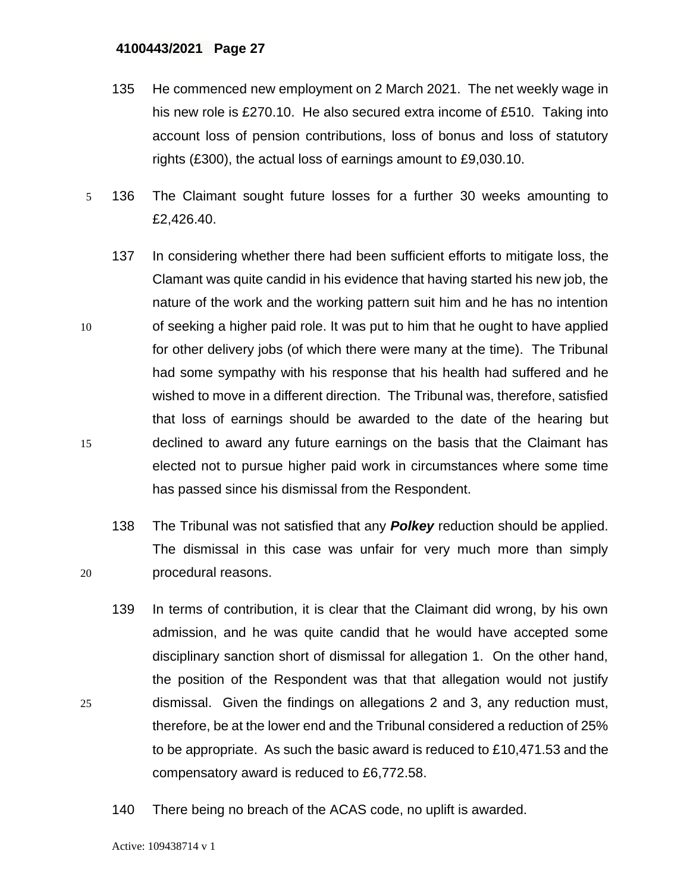- 135 He commenced new employment on 2 March 2021. The net weekly wage in his new role is £270.10. He also secured extra income of £510. Taking into account loss of pension contributions, loss of bonus and loss of statutory rights (£300), the actual loss of earnings amount to £9,030.10.
- 5 136 The Claimant sought future losses for a further 30 weeks amounting to £2,426.40.
- 137 In considering whether there had been sufficient efforts to mitigate loss, the Clamant was quite candid in his evidence that having started his new job, the nature of the work and the working pattern suit him and he has no intention 10 of seeking a higher paid role. It was put to him that he ought to have applied for other delivery jobs (of which there were many at the time). The Tribunal had some sympathy with his response that his health had suffered and he wished to move in a different direction. The Tribunal was, therefore, satisfied that loss of earnings should be awarded to the date of the hearing but 15 declined to award any future earnings on the basis that the Claimant has elected not to pursue higher paid work in circumstances where some time has passed since his dismissal from the Respondent.
- 138 The Tribunal was not satisfied that any *Polkey* reduction should be applied. The dismissal in this case was unfair for very much more than simply 20 procedural reasons.
- 139 In terms of contribution, it is clear that the Claimant did wrong, by his own admission, and he was quite candid that he would have accepted some disciplinary sanction short of dismissal for allegation 1. On the other hand, the position of the Respondent was that that allegation would not justify 25 dismissal. Given the findings on allegations 2 and 3, any reduction must, therefore, be at the lower end and the Tribunal considered a reduction of 25% to be appropriate. As such the basic award is reduced to £10,471.53 and the compensatory award is reduced to £6,772.58.
	- 140 There being no breach of the ACAS code, no uplift is awarded.